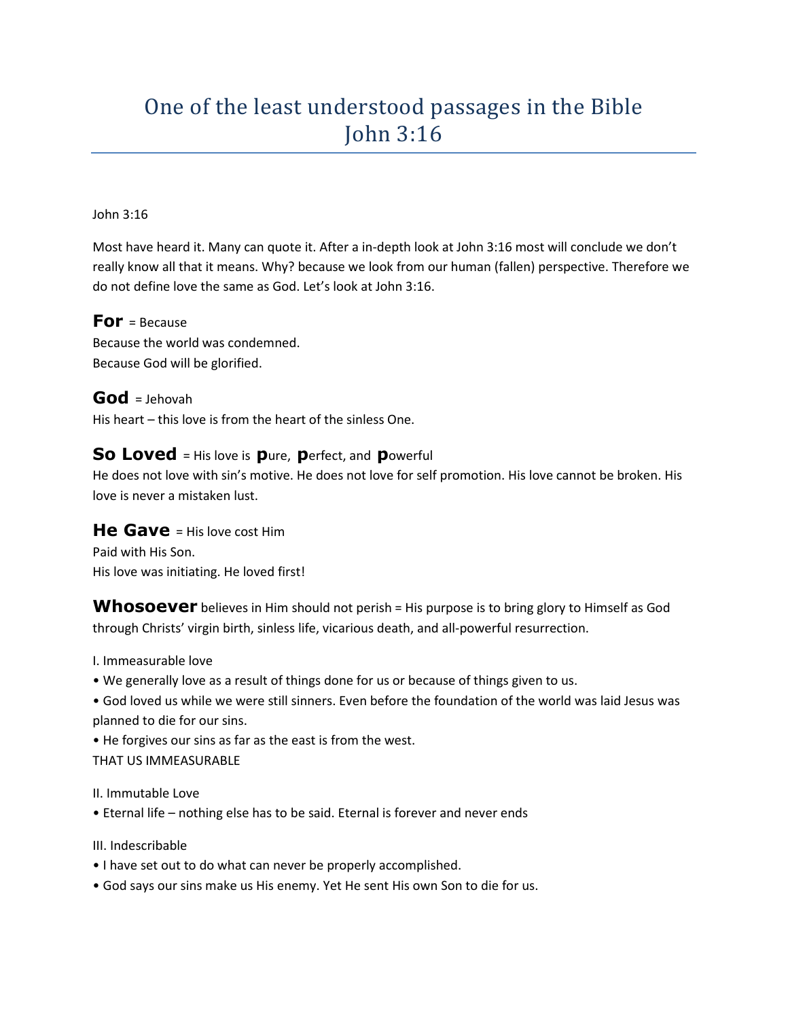## One of the least understood passages in the Bible John 3:16

## John 3:16

Most have heard it. Many can quote it. After a in-depth look at John 3:16 most will conclude we don't really know all that it means. Why? because we look from our human (fallen) perspective. Therefore we do not define love the same as God. Let's look at John 3:16.

**For** = Because Because the world was condemned. Because God will be glorified.

**God** = Jehovah His heart – this love is from the heart of the sinless One.

## **So Loved** = His love is **p**ure, **p**erfect, and **p**owerful

He does not love with sin's motive. He does not love for self promotion. His love cannot be broken. His love is never a mistaken lust.

## **He Gave** = His love cost Him

Paid with His Son. His love was initiating. He loved first!

**Whosoever** believes in Him should not perish = His purpose is to bring glory to Himself as God through Christs' virgin birth, sinless life, vicarious death, and all-powerful resurrection.

I. Immeasurable love

- We generally love as a result of things done for us or because of things given to us.
- God loved us while we were still sinners. Even before the foundation of the world was laid Jesus was planned to die for our sins.

• He forgives our sins as far as the east is from the west. THAT US IMMEASURABLE

II. Immutable Love

• Eternal life – nothing else has to be said. Eternal is forever and never ends

III. Indescribable

- I have set out to do what can never be properly accomplished.
- God says our sins make us His enemy. Yet He sent His own Son to die for us.